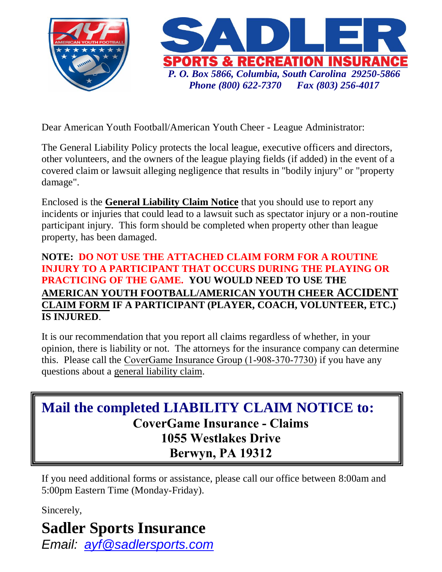

Dear American Youth Football/American Youth Cheer - League Administrator:

The General Liability Policy protects the local league, executive officers and directors, other volunteers, and the owners of the league playing fields (if added) in the event of a covered claim or lawsuit alleging negligence that results in "bodily injury" or "property damage".

Enclosed is the **General Liability Claim Notice** that you should use to report any incidents or injuries that could lead to a lawsuit such as spectator injury or a non-routine participant injury. This form should be completed when property other than league property, has been damaged.

## **NOTE: DO NOT USE THE ATTACHED CLAIM FORM FOR A ROUTINE INJURY TO A PARTICIPANT THAT OCCURS DURING THE PLAYING OR PRACTICING OF THE GAME. YOU WOULD NEED TO USE THE AMERICAN YOUTH FOOTBALL/AMERICAN YOUTH CHEER ACCIDENT CLAIM FORM IF A PARTICIPANT (PLAYER, COACH, VOLUNTEER, ETC.) IS INJURED**.

It is our recommendation that you report all claims regardless of whether, in your opinion, there is liability or not. The attorneys for the insurance company can determine this. Please call the CoverGame Insurance Group (1-908-370-7730) if you have any questions about a general liability claim.

## **Mail the completed LIABILITY CLAIM NOTICE to: CoverGame Insurance - Claims 1055 Westlakes Drive Berwyn, PA 19312**

If you need additional forms or assistance, please call our office between 8:00am and 5:00pm Eastern Time (Monday-Friday).

Sincerely,

## **Sadler Sports Insurance**

*Email: [ayf@sadlersports.com](mailto:ayf@sadlersports.com)*